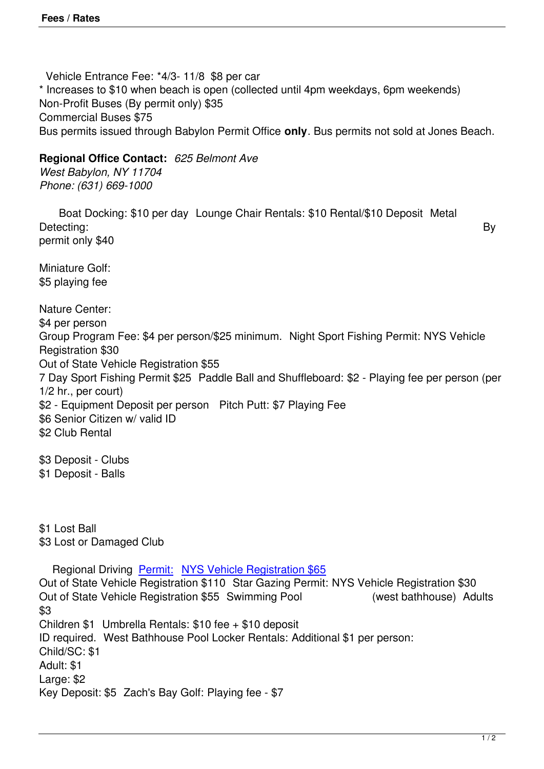Vehicle Entrance Fee: \*4/3- 11/8 \$8 per car \* Increases to \$10 when beach is open (collected until 4pm weekdays, 6pm weekends) Non-Profit Buses (By permit only) \$35 Commercial Buses \$75 Bus permits issued through Babylon Permit Office **only**. Bus permits not sold at Jones Beach.

**Regional Office Contact:** *625 Belmont Ave*

*West Babylon, NY 11704 Phone: (631) 669-1000*

 Boat Docking: \$10 per day Lounge Chair Rentals: \$10 Rental/\$10 Deposit Metal Detecting: By permit only \$40

Miniature Golf: \$5 playing fee

Nature Center:

\$4 per person

Group Program Fee: \$4 per person/\$25 minimum. Night Sport Fishing Permit: NYS Vehicle Registration \$30

Out of State Vehicle Registration \$55

7 Day Sport Fishing Permit \$25 Paddle Ball and Shuffleboard: \$2 - Playing fee per person (per 1/2 hr., per court)

\$2 - Equipment Deposit per person Pitch Putt: \$7 Playing Fee

\$6 Senior Citizen w/ valid ID

\$2 Club Rental

\$3 Deposit - Clubs \$1 Deposit - Balls

\$1 Lost Ball \$3 Lost or Damaged Club

Regional Driving Permit: NYS Vehicle Registration \$65

Out of State Vehicle Registration \$110 Star Gazing Permit: NYS Vehicle Registration \$30 Out of State Vehicle Registration \$55 Swimming Pool (west bathhouse) Adults \$3 Children \$1 Umbrel[la Renta](http://nysparks.com/admission/empire-passport/default.aspx)ls: [\\$10 fee + \\$10 deposit](http://nysparks.com/admission/empire-passport/default.aspx)

ID required. West Bathhouse Pool Locker Rentals: Additional \$1 per person:

Child/SC: \$1

Adult: \$1

Large: \$2

Key Deposit: \$5 Zach's Bay Golf: Playing fee - \$7